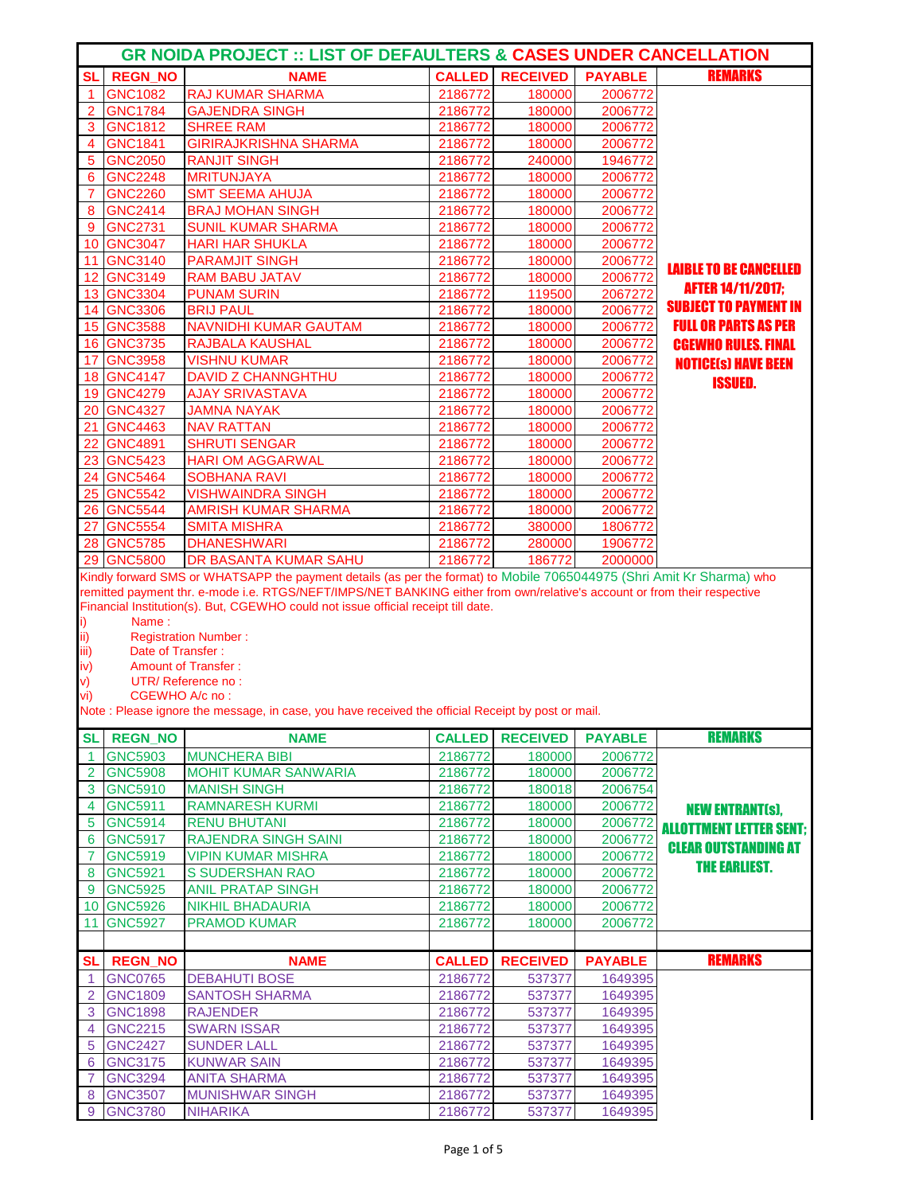|                      |                                  | <b>GR NOIDA PROJECT :: LIST OF DEFAULTERS &amp; CASES UNDER CANCELLATION</b>                                             |                    |                        |                    |                                |
|----------------------|----------------------------------|--------------------------------------------------------------------------------------------------------------------------|--------------------|------------------------|--------------------|--------------------------------|
| <b>SL</b>            | <b>REGN_NO</b>                   | <b>NAME</b>                                                                                                              |                    | <b>CALLED RECEIVED</b> | <b>PAYABLE</b>     | <b>REMARKS</b>                 |
| -1                   | <b>GNC1082</b>                   | <b>RAJ KUMAR SHARMA</b>                                                                                                  | 2186772            | 180000                 | 2006772            |                                |
| $\overline{2}$       | <b>GNC1784</b>                   | <b>GAJENDRA SINGH</b>                                                                                                    | 2186772            | 180000                 | 2006772            |                                |
| 3                    | <b>GNC1812</b>                   | <b>SHREE RAM</b>                                                                                                         | 2186772            | 180000                 | 2006772            |                                |
| $\overline{4}$       | <b>GNC1841</b>                   | <b>GIRIRAJKRISHNA SHARMA</b>                                                                                             | 2186772            | 180000                 | 2006772            |                                |
| 5                    | <b>GNC2050</b>                   | <b>RANJIT SINGH</b>                                                                                                      | 2186772            | 240000                 | 1946772            |                                |
| 6                    | <b>GNC2248</b>                   | <b>MRITUNJAYA</b>                                                                                                        | 2186772            | 180000                 | 2006772            |                                |
| 7                    | <b>GNC2260</b>                   | <b>SMT SEEMA AHUJA</b>                                                                                                   | 2186772            | 180000                 | 2006772            |                                |
| 8                    | <b>GNC2414</b>                   | <b>BRAJ MOHAN SINGH</b>                                                                                                  | 2186772            | 180000                 | 2006772            |                                |
| 9                    | <b>GNC2731</b>                   | <b>SUNIL KUMAR SHARMA</b>                                                                                                | 2186772            | 180000                 | 2006772            |                                |
| 10                   | <b>GNC3047</b>                   | <b>HARI HAR SHUKLA</b>                                                                                                   | 2186772            | 180000                 | 2006772            |                                |
| 11                   | <b>GNC3140</b>                   | <b>PARAMJIT SINGH</b>                                                                                                    | 2186772            | 180000                 | 2006772            | <b>LAIBLE TO BE CANCELLED</b>  |
| 12                   | <b>GNC3149</b>                   | <b>RAM BABU JATAV</b>                                                                                                    | 2186772            | 180000                 | 2006772            | <b>AFTER 14/11/2017:</b>       |
| 13                   | <b>GNC3304</b>                   | <b>PUNAM SURIN</b>                                                                                                       | 2186772            | 119500                 | 2067272            | <b>SUBJECT TO PAYMENT IN</b>   |
| 14                   | <b>GNC3306</b>                   | <b>BRIJ PAUL</b>                                                                                                         | 2186772            | 180000                 | 2006772            |                                |
| 15                   | <b>GNC3588</b>                   | <b>NAVNIDHI KUMAR GAUTAM</b>                                                                                             | 2186772            | 180000                 | 2006772            | <b>FULL OR PARTS AS PER</b>    |
| 16                   | <b>GNC3735</b>                   | <b>RAJBALA KAUSHAL</b>                                                                                                   | 2186772            | 180000                 | 2006772            | <b>CGEWHO RULES, FINAL</b>     |
| 17                   | <b>GNC3958</b>                   | <b>VISHNU KUMAR</b>                                                                                                      | 2186772            | 180000                 | 2006772            | <b>NOTICE(S) HAVE BEEN</b>     |
| 18                   | <b>GNC4147</b>                   | <b>DAVID Z CHANNGHTHU</b>                                                                                                | 2186772            | 180000                 | 2006772            | <b>ISSUED.</b>                 |
| 19                   | <b>GNC4279</b><br><b>GNC4327</b> | <b>AJAY SRIVASTAVA</b>                                                                                                   | 2186772            | 180000                 | 2006772            |                                |
| 20<br>21             | <b>GNC4463</b>                   | <b>JAMNA NAYAK</b><br><b>NAV RATTAN</b>                                                                                  | 2186772            | 180000<br>180000       | 2006772<br>2006772 |                                |
| 22                   | <b>GNC4891</b>                   | <b>SHRUTI SENGAR</b>                                                                                                     | 2186772<br>2186772 | 180000                 | 2006772            |                                |
| 23                   | <b>GNC5423</b>                   | <b>HARI OM AGGARWAL</b>                                                                                                  | 2186772            | 180000                 | 2006772            |                                |
| 24                   | <b>GNC5464</b>                   | <b>SOBHANA RAVI</b>                                                                                                      | 2186772            | 180000                 | 2006772            |                                |
| 25                   | <b>GNC5542</b>                   | <b>VISHWAINDRA SINGH</b>                                                                                                 | 2186772            | 180000                 | 2006772            |                                |
| 26                   | <b>GNC5544</b>                   | <b>AMRISH KUMAR SHARMA</b>                                                                                               | 2186772            | 180000                 | 2006772            |                                |
| 27                   | <b>GNC5554</b>                   | <b>SMITA MISHRA</b>                                                                                                      | 2186772            | 380000                 | 1806772            |                                |
|                      | 28 GNC5785                       | <b>DHANESHWARI</b>                                                                                                       | 2186772            | 280000                 | 1906772            |                                |
|                      | 29 GNC5800                       | DR BASANTA KUMAR SAHU                                                                                                    | 2186772            | 186772                 | 2000000            |                                |
|                      |                                  | Kindly forward SMS or WHATSAPP the payment details (as per the format) to Mobile 7065044975 (Shri Amit Kr Sharma) who    |                    |                        |                    |                                |
|                      |                                  | remitted payment thr. e-mode i.e. RTGS/NEFT/IMPS/NET BANKING either from own/relative's account or from their respective |                    |                        |                    |                                |
|                      |                                  | Financial Institution(s). But, CGEWHO could not issue official receipt till date.                                        |                    |                        |                    |                                |
| i).                  | Name:                            |                                                                                                                          |                    |                        |                    |                                |
| ii)                  |                                  | <b>Registration Number:</b>                                                                                              |                    |                        |                    |                                |
| iii)<br>iv)          | Date of Transfer:                | <b>Amount of Transfer:</b>                                                                                               |                    |                        |                    |                                |
| V)                   |                                  | UTR/ Reference no:                                                                                                       |                    |                        |                    |                                |
| vi)                  | CGEWHO A/c no:                   |                                                                                                                          |                    |                        |                    |                                |
|                      |                                  | Note : Please ignore the message, in case, you have received the official Receipt by post or mail.                       |                    |                        |                    |                                |
| <b>SL</b>            | <b>REGN_NO</b>                   | <b>NAME</b>                                                                                                              | <b>CALLED</b>      | <b>RECEIVED</b>        | <b>PAYABLE</b>     | <b>REMARKS</b>                 |
| $\blacktriangleleft$ | <b>GNC5903</b>                   | <b>MUNCHERA BIBI</b>                                                                                                     | 2186772            | 180000                 | 2006772            |                                |
| $\overline{2}$       | <b>GNC5908</b>                   | <b>MOHIT KUMAR SANWARIA</b>                                                                                              | 2186772            | 180000                 | 2006772            |                                |
| 3                    | <b>GNC5910</b>                   | <b>MANISH SINGH</b>                                                                                                      | 2186772            | 180018                 | 2006754            |                                |
| $\overline{4}$       | <b>GNC5911</b>                   | <b>RAMNARESH KURMI</b>                                                                                                   | 2186772            | 180000                 | 2006772            | <b>NEW ENTRANT(S),</b>         |
| 5                    | <b>GNC5914</b>                   | <b>RENU BHUTANI</b>                                                                                                      | 2186772            | 180000                 | 2006772            | <b>ALLOTTMENT LETTER SENT:</b> |
| 6                    | <b>GNC5917</b>                   | <b>RAJENDRA SINGH SAINI</b>                                                                                              | 2186772            | 180000                 | 2006772            | <b>CLEAR OUTSTANDING AT</b>    |
| $\overline{7}$       | <b>GNC5919</b>                   | <b>VIPIN KUMAR MISHRA</b>                                                                                                | 2186772            | 180000                 | 2006772            |                                |
| 8                    | <b>GNC5921</b>                   | <b>S SUDERSHAN RAO</b>                                                                                                   | 2186772            | 180000                 | 2006772            | <b>THE EARLIEST.</b>           |
| 9                    | <b>GNC5925</b>                   | <b>ANIL PRATAP SINGH</b>                                                                                                 | 2186772            | 180000                 | 2006772            |                                |
|                      | 10 GNC5926                       | NIKHIL BHADAURIA                                                                                                         | 2186772            | 180000                 | 2006772            |                                |
|                      | 11 GNC5927                       | <b>PRAMOD KUMAR</b>                                                                                                      | 2186772            | 180000                 | 2006772            |                                |
|                      |                                  |                                                                                                                          |                    |                        |                    |                                |

|           | 11 GNC5927     | <b>PRAMOD KUMAR</b>    | 21867721      | 180000          | 2006/721       |                |
|-----------|----------------|------------------------|---------------|-----------------|----------------|----------------|
|           |                |                        |               |                 |                |                |
| <b>SL</b> | <b>REGN NO</b> | <b>NAME</b>            | <b>CALLED</b> | <b>RECEIVED</b> | <b>PAYABLE</b> | <b>REMARKS</b> |
|           | <b>GNC0765</b> | <b>DEBAHUTI BOSE</b>   | 2186772       | 537377          | 1649395        |                |
|           | <b>GNC1809</b> | <b>SANTOSH SHARMA</b>  | 2186772       | 537377          | 1649395        |                |
| 3         | <b>GNC1898</b> | <b>RAJENDER</b>        | 2186772       | 537377          | 1649395        |                |
| 4         | <b>GNC2215</b> | <b>SWARN ISSAR</b>     | 2186772       | 537377          | 1649395        |                |
| 5         | <b>GNC2427</b> | <b>SUNDER LALL</b>     | 2186772       | 537377          | 1649395        |                |
| 6         | <b>GNC3175</b> | <b>KUNWAR SAIN</b>     | 2186772       | 537377          | 1649395        |                |
|           | <b>GNC3294</b> | <b>ANITA SHARMA</b>    | 2186772       | 537377          | 1649395        |                |
| 8         | <b>GNC3507</b> | <b>MUNISHWAR SINGH</b> | 2186772       | 537377          | 1649395        |                |
| 9         | <b>GNC3780</b> | <b>NIHARIKA</b>        | 2186772       | 537377          | 1649395        |                |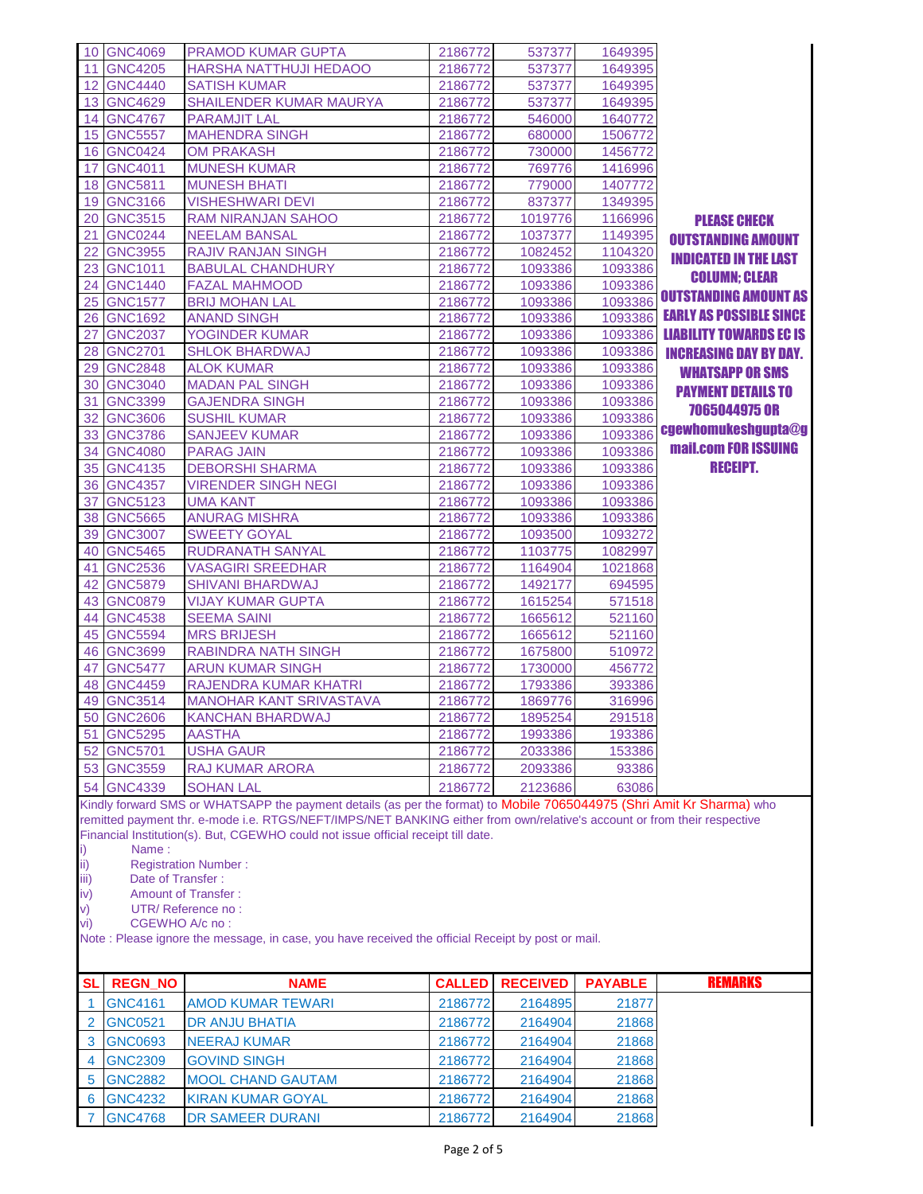|                 | 10 GNC4069     | PRAMOD KUMAR GUPTA             | 2186772 | 537377  | 1649395 |                                |
|-----------------|----------------|--------------------------------|---------|---------|---------|--------------------------------|
| 11              | <b>GNC4205</b> | <b>HARSHA NATTHUJI HEDAOO</b>  | 2186772 | 537377  | 1649395 |                                |
|                 | 12 GNC4440     | <b>SATISH KUMAR</b>            | 2186772 | 537377  | 1649395 |                                |
| 13 <sub>l</sub> | <b>GNC4629</b> | SHAILENDER KUMAR MAURYA        | 2186772 | 537377  | 1649395 |                                |
|                 | 14 GNC4767     | <b>PARAMJIT LAL</b>            | 2186772 | 546000  | 1640772 |                                |
|                 | 15 GNC5557     | <b>MAHENDRA SINGH</b>          | 2186772 | 680000  | 1506772 |                                |
|                 | 16 GNC0424     | <b>OM PRAKASH</b>              | 2186772 | 730000  | 1456772 |                                |
| 17              | <b>GNC4011</b> | <b>MUNESH KUMAR</b>            | 2186772 | 769776  | 1416996 |                                |
|                 | 18 GNC5811     | <b>MUNESH BHATI</b>            | 2186772 | 779000  | 1407772 |                                |
| 19 <sup>1</sup> | <b>GNC3166</b> | <b>VISHESHWARI DEVI</b>        | 2186772 | 837377  | 1349395 |                                |
| 20              | <b>GNC3515</b> | <b>RAM NIRANJAN SAHOO</b>      | 2186772 | 1019776 | 1166996 | <b>PLEASE CHECK</b>            |
| 21              | <b>GNC0244</b> | <b>NEELAM BANSAL</b>           | 2186772 | 1037377 | 1149395 | <b>OUTSTANDING AMOUNT</b>      |
| 22              | <b>GNC3955</b> | <b>RAJIV RANJAN SINGH</b>      | 2186772 | 1082452 | 1104320 | <b>INDICATED IN THE LAST</b>   |
| 23              | <b>GNC1011</b> | <b>BABULAL CHANDHURY</b>       | 2186772 | 1093386 | 1093386 |                                |
| 24              | <b>GNC1440</b> | <b>FAZAL MAHMOOD</b>           | 2186772 | 1093386 | 1093386 | <b>COLUMN; CLEAR</b>           |
|                 | 25 GNC1577     | <b>BRIJ MOHAN LAL</b>          | 2186772 | 1093386 | 1093386 | <b>OUTSTANDING AMOUNT AS</b>   |
| 26              | <b>GNC1692</b> | <b>ANAND SINGH</b>             | 2186772 | 1093386 | 1093386 | <b>EARLY AS POSSIBLE SINCE</b> |
| 27              | <b>GNC2037</b> | YOGINDER KUMAR                 | 2186772 | 1093386 | 1093386 | <b>LIABILITY TOWARDS EC IS</b> |
| 28              | <b>GNC2701</b> | <b>SHLOK BHARDWAJ</b>          | 2186772 | 1093386 | 1093386 | <b>INCREASING DAY BY DAY.</b>  |
| 29              | <b>GNC2848</b> | <b>ALOK KUMAR</b>              | 2186772 | 1093386 | 1093386 | <b>WHATSAPP OR SMS</b>         |
| 30 <sub>1</sub> | <b>GNC3040</b> | <b>MADAN PAL SINGH</b>         | 2186772 | 1093386 | 1093386 | <b>PAYMENT DETAILS TO</b>      |
| 31              | <b>GNC3399</b> | <b>GAJENDRA SINGH</b>          | 2186772 | 1093386 | 1093386 | 7065044975 OR                  |
| 32              | <b>GNC3606</b> | <b>SUSHIL KUMAR</b>            | 2186772 | 1093386 | 1093386 |                                |
| 33              | <b>GNC3786</b> | <b>SANJEEV KUMAR</b>           | 2186772 | 1093386 | 1093386 | cgewhomukeshgupta@g            |
| 34              | <b>GNC4080</b> | <b>PARAG JAIN</b>              | 2186772 | 1093386 | 1093386 | mail.com FOR ISSUING           |
|                 | 35 GNC4135     | <b>DEBORSHI SHARMA</b>         | 2186772 | 1093386 | 1093386 | <b>RECEIPT.</b>                |
|                 | 36 GNC4357     | <b>VIRENDER SINGH NEGI</b>     | 2186772 | 1093386 | 1093386 |                                |
| 37              | <b>GNC5123</b> | <b>UMA KANT</b>                | 2186772 | 1093386 | 1093386 |                                |
|                 | 38 GNC5665     | <b>ANURAG MISHRA</b>           | 2186772 | 1093386 | 1093386 |                                |
|                 | 39 GNC3007     | <b>SWEETY GOYAL</b>            | 2186772 | 1093500 | 1093272 |                                |
| 40              | <b>GNC5465</b> | <b>RUDRANATH SANYAL</b>        | 2186772 | 1103775 | 1082997 |                                |
| 41              | <b>GNC2536</b> | <b>VASAGIRI SREEDHAR</b>       | 2186772 | 1164904 | 1021868 |                                |
| 42              | <b>GNC5879</b> | SHIVANI BHARDWAJ               | 2186772 | 1492177 | 694595  |                                |
| 43              | <b>GNC0879</b> | <b>VIJAY KUMAR GUPTA</b>       | 2186772 | 1615254 | 571518  |                                |
| 44              | <b>GNC4538</b> | <b>SEEMA SAINI</b>             | 2186772 | 1665612 | 521160  |                                |
|                 | 45 GNC5594     | <b>MRS BRIJESH</b>             | 2186772 | 1665612 | 521160  |                                |
|                 | 46 GNC3699     | <b>RABINDRA NATH SINGH</b>     | 2186772 | 1675800 | 510972  |                                |
| 47              | <b>GNC5477</b> | <b>ARUN KUMAR SINGH</b>        | 2186772 | 1730000 | 456772  |                                |
| 48              | <b>GNC4459</b> | RAJENDRA KUMAR KHATRI          | 2186772 | 1793386 | 393386  |                                |
|                 | 49 GNC3514     | <b>MANOHAR KANT SRIVASTAVA</b> | 2186772 | 1869776 | 316996  |                                |
|                 | 50 GNC2606     | <b>KANCHAN BHARDWAJ</b>        | 2186772 | 1895254 | 291518  |                                |
| 51              | <b>GNC5295</b> | <b>AASTHA</b>                  | 2186772 | 1993386 | 193386  |                                |
| 52              | <b>GNC5701</b> | <b>USHA GAUR</b>               | 2186772 | 2033386 | 153386  |                                |
| 53              | <b>GNC3559</b> | <b>RAJ KUMAR ARORA</b>         | 2186772 | 2093386 | 93386   |                                |
|                 | 54 GNC4339     | <b>SOHAN LAL</b>               | 2186772 | 2123686 | 63086   |                                |

Kindly forward SMS or WHATSAPP the payment details (as per the format) to Mobile 7065044975 (Shri Amit Kr Sharma) who remitted payment thr. e-mode i.e. RTGS/NEFT/IMPS/NET BANKING either from own/relative's account or from their respective Financial Institution(s). But, CGEWHO could not issue official receipt till date.

i) Name :

ii) Registration Number : iii) Date of Transfer :

iv) Amount of Transfer : v) UTR/ Reference no :

vi) CGEWHO A/c no :

Note : Please ignore the message, in case, you have received the official Receipt by post or mail.

| <b>SL</b> | <b>REGN NO</b> | <b>NAME</b>              | <b>CALLED</b> | <b>RECEIVED</b> | <b>PAYABLE</b> | <b>REMARKS</b> |
|-----------|----------------|--------------------------|---------------|-----------------|----------------|----------------|
|           | <b>GNC4161</b> | <b>AMOD KUMAR TEWARI</b> | 2186772       | 2164895         | 21877          |                |
|           | <b>GNC0521</b> | <b>DR ANJU BHATIA</b>    | 2186772       | 2164904         | 21868          |                |
|           | <b>GNC0693</b> | <b>NEERAJ KUMAR</b>      | 2186772       | 2164904         | 21868          |                |
| 4         | <b>GNC2309</b> | <b>GOVIND SINGH</b>      | 2186772       | 2164904         | 21868          |                |
| 5         | <b>GNC2882</b> | <b>MOOL CHAND GAUTAM</b> | 2186772       | 2164904         | 21868          |                |
| 6         | <b>GNC4232</b> | <b>KIRAN KUMAR GOYAL</b> | 2186772       | 2164904         | 21868          |                |
|           | <b>GNC4768</b> | <b>DR SAMEER DURANI</b>  | 2186772       | 2164904         | 21868          |                |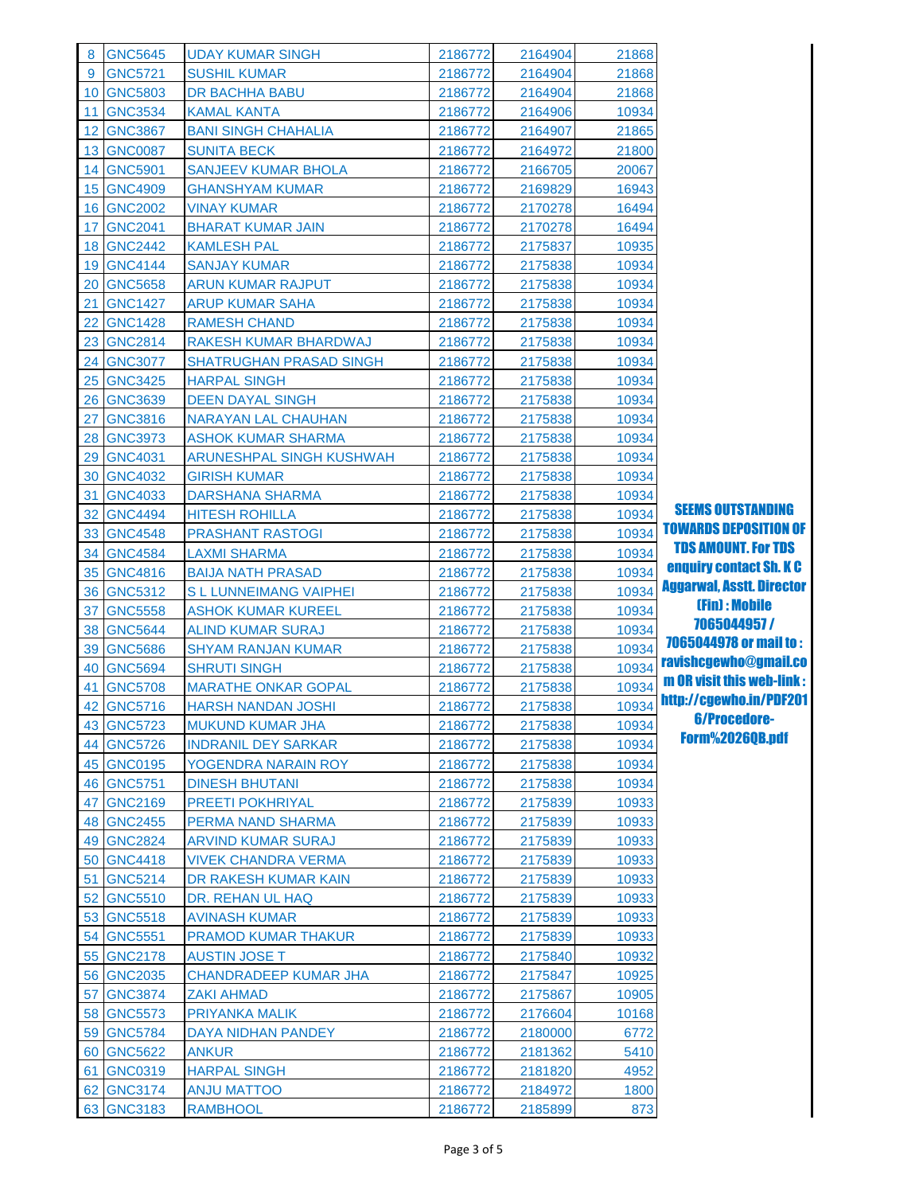| 8               | <b>GNC5645</b>    | <b>UDAY KUMAR SINGH</b>        | 2186772 | 2164904 | 21868 |                                  |
|-----------------|-------------------|--------------------------------|---------|---------|-------|----------------------------------|
| 9               | <b>GNC5721</b>    | <b>SUSHIL KUMAR</b>            | 2186772 | 2164904 | 21868 |                                  |
|                 | 10 GNC5803        | DR BACHHA BABU                 | 2186772 | 2164904 | 21868 |                                  |
| 11              | <b>GNC3534</b>    | <b>KAMAL KANTA</b>             | 2186772 | 2164906 | 10934 |                                  |
| 12 <sup>2</sup> | <b>GNC3867</b>    | <b>BANI SINGH CHAHALIA</b>     | 2186772 | 2164907 | 21865 |                                  |
|                 | 13 GNC0087        | <b>SUNITA BECK</b>             | 2186772 | 2164972 | 21800 |                                  |
|                 | 14 GNC5901        | <b>SANJEEV KUMAR BHOLA</b>     | 2186772 | 2166705 | 20067 |                                  |
|                 | 15 GNC4909        | <b>GHANSHYAM KUMAR</b>         | 2186772 | 2169829 | 16943 |                                  |
|                 | <b>16 GNC2002</b> | <b>VINAY KUMAR</b>             | 2186772 | 2170278 | 16494 |                                  |
|                 | <b>17 GNC2041</b> | <b>BHARAT KUMAR JAIN</b>       | 2186772 | 2170278 | 16494 |                                  |
|                 | <b>18 GNC2442</b> | <b>KAMLESH PAL</b>             | 2186772 | 2175837 | 10935 |                                  |
|                 | 19 GNC4144        | <b>SANJAY KUMAR</b>            | 2186772 | 2175838 | 10934 |                                  |
|                 | 20 GNC5658        | ARUN KUMAR RAJPUT              | 2186772 | 2175838 | 10934 |                                  |
| 21              | <b>GNC1427</b>    | <b>ARUP KUMAR SAHA</b>         | 2186772 | 2175838 | 10934 |                                  |
| 22              | <b>GNC1428</b>    | <b>RAMESH CHAND</b>            | 2186772 | 2175838 | 10934 |                                  |
|                 | 23 GNC2814        | RAKESH KUMAR BHARDWAJ          | 2186772 | 2175838 | 10934 |                                  |
|                 | 24 GNC3077        | <b>SHATRUGHAN PRASAD SINGH</b> | 2186772 | 2175838 | 10934 |                                  |
|                 | 25 GNC3425        | <b>HARPAL SINGH</b>            | 2186772 | 2175838 | 10934 |                                  |
|                 | 26 GNC3639        | <b>DEEN DAYAL SINGH</b>        | 2186772 | 2175838 | 10934 |                                  |
| 27              | <b>GNC3816</b>    | <b>NARAYAN LAL CHAUHAN</b>     | 2186772 | 2175838 | 10934 |                                  |
|                 | 28 GNC3973        | ASHOK KUMAR SHARMA             | 2186772 | 2175838 | 10934 |                                  |
|                 | 29 GNC4031        | ARUNESHPAL SINGH KUSHWAH       | 2186772 | 2175838 | 10934 |                                  |
|                 | 30 GNC4032        | <b>GIRISH KUMAR</b>            | 2186772 | 2175838 | 10934 |                                  |
| 31              | <b>GNC4033</b>    | <b>DARSHANA SHARMA</b>         | 2186772 | 2175838 | 10934 |                                  |
|                 | 32 GNC4494        | <b>HITESH ROHILLA</b>          | 2186772 | 2175838 | 10934 | <b>SEEMS OUTSTANDING</b>         |
|                 | 33 GNC4548        | <b>PRASHANT RASTOGI</b>        | 2186772 | 2175838 | 10934 | <b>TOWARDS DEPOSITION OF</b>     |
| 34              | <b>GNC4584</b>    | <b>LAXMI SHARMA</b>            | 2186772 | 2175838 | 10934 | <b>TDS AMOUNT. For TDS</b>       |
| 35              | <b>GNC4816</b>    | <b>BAIJA NATH PRASAD</b>       | 2186772 | 2175838 | 10934 | <b>enquiry contact Sh. K C</b>   |
|                 | 36 GNC5312        | <b>SL LUNNEIMANG VAIPHEI</b>   | 2186772 | 2175838 | 10934 | <b>Aggarwal, Asstt. Director</b> |
| 37              | <b>GNC5558</b>    | <b>ASHOK KUMAR KUREEL</b>      | 2186772 | 2175838 | 10934 | (Fin) : Mobile                   |
|                 | 38 GNC5644        | <b>ALIND KUMAR SURAJ</b>       | 2186772 | 2175838 | 10934 | 7065044957/                      |
| 39              | <b>GNC5686</b>    | <b>SHYAM RANJAN KUMAR</b>      | 2186772 | 2175838 | 10934 | 7065044978 or mail to:           |
|                 | 40 GNC5694        | <b>SHRUTI SINGH</b>            | 2186772 | 2175838 | 10934 | ravishcgewho@gmail.co            |
|                 | 41 GNC5708        | <b>MARATHE ONKAR GOPAL</b>     | 2186772 | 2175838 | 10934 | <b>m OR visit this web-link:</b> |
|                 | 42 GNC5716        | HARSH NANDAN JOSHI             | 2186772 | 2175838 | 10934 | http://cgewho.in/PDF201          |
|                 | 43 GNC5723        | <b>MUKUND KUMAR JHA</b>        | 2186772 | 2175838 | 10934 | 6/Procedore-                     |
|                 | 44 GNC5726        | <b>INDRANIL DEY SARKAR</b>     | 2186772 | 2175838 | 10934 | Form%2026QB.pdf                  |
|                 | 45 GNC0195        | <b>YOGENDRA NARAIN ROY</b>     | 2186772 | 2175838 | 10934 |                                  |
|                 | 46 GNC5751        | <b>DINESH BHUTANI</b>          | 2186772 | 2175838 | 10934 |                                  |
|                 | 47 GNC2169        | PREETI POKHRIYAL               | 2186772 | 2175839 | 10933 |                                  |
|                 | 48 GNC2455        | PERMA NAND SHARMA              | 2186772 | 2175839 | 10933 |                                  |
|                 | 49 GNC2824        | <b>ARVIND KUMAR SURAJ</b>      | 2186772 | 2175839 | 10933 |                                  |
|                 | 50 GNC4418        | VIVEK CHANDRA VERMA            | 2186772 | 2175839 | 10933 |                                  |
| 51              | <b>GNC5214</b>    | DR RAKESH KUMAR KAIN           | 2186772 | 2175839 | 10933 |                                  |
|                 | 52 GNC5510        | DR. REHAN UL HAQ               | 2186772 | 2175839 | 10933 |                                  |
|                 | 53 GNC5518        | <b>AVINASH KUMAR</b>           | 2186772 | 2175839 | 10933 |                                  |
|                 | 54 GNC5551        | <b>PRAMOD KUMAR THAKUR</b>     | 2186772 | 2175839 | 10933 |                                  |
|                 | 55 GNC2178        | <b>AUSTIN JOSE T</b>           | 2186772 | 2175840 | 10932 |                                  |
|                 | 56 GNC2035        | <b>CHANDRADEEP KUMAR JHA</b>   | 2186772 | 2175847 | 10925 |                                  |
|                 | 57 GNC3874        | <b>ZAKI AHMAD</b>              | 2186772 | 2175867 | 10905 |                                  |
|                 | 58 GNC5573        | <b>PRIYANKA MALIK</b>          | 2186772 | 2176604 | 10168 |                                  |
|                 | 59 GNC5784        | <b>DAYA NIDHAN PANDEY</b>      | 2186772 | 2180000 | 6772  |                                  |
|                 | 60 GNC5622        | <b>ANKUR</b>                   | 2186772 | 2181362 | 5410  |                                  |
|                 | 61 GNC0319        | <b>HARPAL SINGH</b>            | 2186772 | 2181820 | 4952  |                                  |
|                 | 62 GNC3174        | <b>ANJU MATTOO</b>             | 2186772 | 2184972 | 1800  |                                  |
|                 | 63 GNC3183        | <b>RAMBHOOL</b>                | 2186772 | 2185899 | 873   |                                  |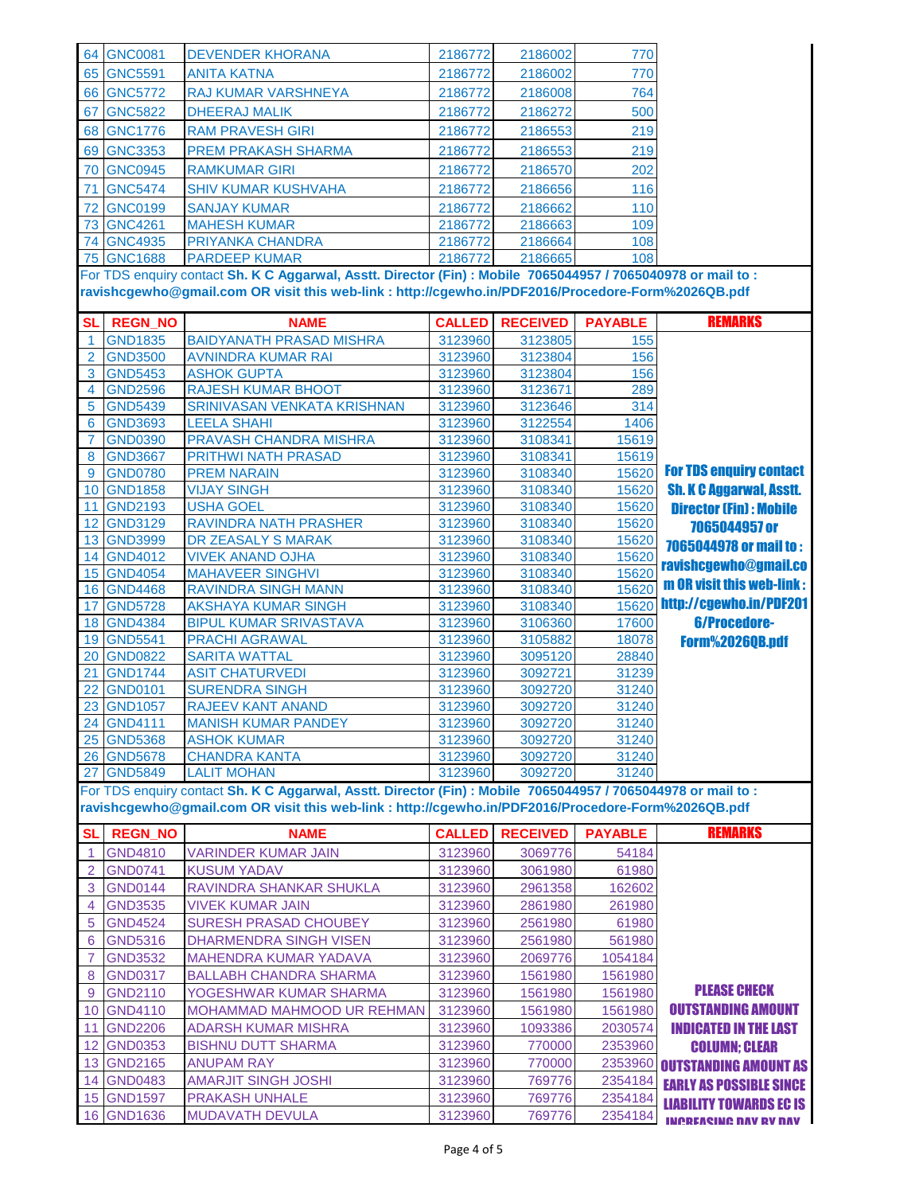| 64                   | <b>GNC0081</b>                   | <b>DEVENDER KHORANA</b>                                                                                                                                                                                             | 2186772            | 2186002            | 770            |                                  |
|----------------------|----------------------------------|---------------------------------------------------------------------------------------------------------------------------------------------------------------------------------------------------------------------|--------------------|--------------------|----------------|----------------------------------|
|                      | 65 GNC5591                       | <b>ANITA KATNA</b>                                                                                                                                                                                                  | 2186772            | 2186002            | 770            |                                  |
|                      | 66 GNC5772                       | RAJ KUMAR VARSHNEYA                                                                                                                                                                                                 | 2186772            | 2186008            | 764            |                                  |
| 67                   | <b>GNC5822</b>                   | <b>DHEERAJ MALIK</b>                                                                                                                                                                                                | 2186772            | 2186272            | 500            |                                  |
|                      | 68 GNC1776                       | <b>RAM PRAVESH GIRI</b>                                                                                                                                                                                             | 2186772            | 2186553            | 219            |                                  |
|                      | <b>GNC3353</b>                   |                                                                                                                                                                                                                     | 2186772            |                    | 219            |                                  |
| 69                   |                                  | PREM PRAKASH SHARMA                                                                                                                                                                                                 |                    | 2186553            |                |                                  |
| 70                   | <b>GNC0945</b>                   | <b>RAMKUMAR GIRI</b>                                                                                                                                                                                                | 2186772            | 2186570            | 202            |                                  |
| 71                   | <b>GNC5474</b>                   | <b>SHIV KUMAR KUSHVAHA</b>                                                                                                                                                                                          | 2186772            | 2186656            | 116            |                                  |
| 72                   | <b>GNC0199</b>                   | <b>SANJAY KUMAR</b>                                                                                                                                                                                                 | 2186772            | 2186662            | 110            |                                  |
| 73                   | <b>GNC4261</b>                   | <b>MAHESH KUMAR</b>                                                                                                                                                                                                 | 2186772            | 2186663            | 109            |                                  |
|                      | 74 GNC4935<br>75 GNC1688         | PRIYANKA CHANDRA<br><b>PARDEEP KUMAR</b>                                                                                                                                                                            | 2186772            | 2186664            | 108<br>108     |                                  |
|                      |                                  | For TDS enquiry contact Sh. K C Aggarwal, Asstt. Director (Fin) : Mobile 7065044957 / 7065040978 or mail to :                                                                                                       | 2186772            | 2186665            |                |                                  |
|                      |                                  | ravishcgewho@gmail.com OR visit this web-link : http://cgewho.in/PDF2016/Procedore-Form%2026QB.pdf                                                                                                                  |                    |                    |                |                                  |
|                      |                                  |                                                                                                                                                                                                                     |                    |                    |                |                                  |
| <b>SL</b>            | <b>REGN NO</b>                   | <b>NAME</b>                                                                                                                                                                                                         | <b>CALLED</b>      | <b>RECEIVED</b>    | <b>PAYABLE</b> | <b>REMARKS</b>                   |
| $\blacktriangleleft$ | <b>GND1835</b>                   | <b>BAIDYANATH PRASAD MISHRA</b>                                                                                                                                                                                     | 3123960            | 3123805            | 155            |                                  |
| $\overline{2}$       | <b>GND3500</b>                   | <b>AVNINDRA KUMAR RAI</b>                                                                                                                                                                                           | 3123960            | 3123804            | 156            |                                  |
| 3                    | <b>GND5453</b>                   | <b>ASHOK GUPTA</b>                                                                                                                                                                                                  | 3123960            | 3123804            | 156            |                                  |
| 4                    | <b>GND2596</b>                   | <b>RAJESH KUMAR BHOOT</b>                                                                                                                                                                                           | 3123960            | 3123671            | 289            |                                  |
| 5                    | <b>GND5439</b>                   | SRINIVASAN VENKATA KRISHNAN                                                                                                                                                                                         | 3123960            | 3123646            | 314            |                                  |
| 6                    | <b>GND3693</b>                   | <b>LEELA SHAHI</b>                                                                                                                                                                                                  | 3123960            | 3122554            | 1406           |                                  |
| 7                    | <b>GND0390</b>                   | PRAVASH CHANDRA MISHRA                                                                                                                                                                                              | 3123960            | 3108341            | 15619          |                                  |
| 8                    | <b>GND3667</b>                   | PRITHWI NATH PRASAD                                                                                                                                                                                                 | 3123960            | 3108341            | 15619          | <b>For TDS enguiry contact</b>   |
| 9                    | <b>GND0780</b>                   | <b>PREM NARAIN</b>                                                                                                                                                                                                  | 3123960            | 3108340            | 15620          |                                  |
| 10                   | <b>GND1858</b>                   | <b>VIJAY SINGH</b>                                                                                                                                                                                                  | 3123960            | 3108340            | 15620          | <b>Sh. K C Aggarwal, Asstt.</b>  |
| 11                   | <b>GND2193</b>                   | <b>USHA GOEL</b>                                                                                                                                                                                                    | 3123960            | 3108340            | 15620          | <b>Director (Fin) : Mobile</b>   |
| 12<br>13             | <b>GND3129</b><br><b>GND3999</b> | RAVINDRA NATH PRASHER<br>DR ZEASALY S MARAK                                                                                                                                                                         | 3123960<br>3123960 | 3108340<br>3108340 | 15620          | 7065044957 or                    |
| 14                   | <b>GND4012</b>                   | <b>VIVEK ANAND OJHA</b>                                                                                                                                                                                             | 3123960            | 3108340            | 15620<br>15620 | 7065044978 or mail to:           |
| 15                   | <b>GND4054</b>                   | <b>MAHAVEER SINGHVI</b>                                                                                                                                                                                             | 3123960            | 3108340            | 15620          | ravishcgewho@gmail.co            |
|                      | 16 GND4468                       | <b>RAVINDRA SINGH MANN</b>                                                                                                                                                                                          | 3123960            | 3108340            | 15620          | <b>m OR visit this web-link:</b> |
| 17                   | <b>GND5728</b>                   | <b>AKSHAYA KUMAR SINGH</b>                                                                                                                                                                                          | 3123960            | 3108340            |                | 15620 http://cgewho.in/PDF201    |
|                      | 18 GND4384                       | <b>BIPUL KUMAR SRIVASTAVA</b>                                                                                                                                                                                       | 3123960            | 3106360            | 17600          | <b>6/Procedore-</b>              |
| 19                   | <b>GND5541</b>                   | PRACHI AGRAWAL                                                                                                                                                                                                      | 3123960            | 3105882            | 18078          | Form%2026QB.pdf                  |
|                      | 20 GND0822                       | <b>SARITA WATTAL</b>                                                                                                                                                                                                | 3123960            | 3095120            | 28840          |                                  |
| 21                   | <b>GND1744</b>                   | <b>ASIT CHATURVEDI</b>                                                                                                                                                                                              | 3123960            | 3092721            | 31239          |                                  |
| 22                   | <b>GND0101</b>                   | <b>SURENDRA SINGH</b>                                                                                                                                                                                               | 3123960            | 3092720            | 31240          |                                  |
|                      | 23 GND1057                       | RAJEEV KANT ANAND                                                                                                                                                                                                   | 3123960            | 3092720            | 31240          |                                  |
|                      | 24 GND4111                       | <b>MANISH KUMAR PANDEY</b>                                                                                                                                                                                          | 3123960            | 3092720            | 31240          |                                  |
|                      | 25 GND5368                       | <b>ASHOK KUMAR</b>                                                                                                                                                                                                  | 3123960            | 3092720            | 31240          |                                  |
|                      | 26 GND5678                       | <b>CHANDRA KANTA</b>                                                                                                                                                                                                | 3123960            | 3092720            | 31240          |                                  |
|                      | 27 GND5849                       | <b>LALIT MOHAN</b>                                                                                                                                                                                                  | 3123960            | 3092720            | 31240          |                                  |
|                      |                                  | For TDS enquiry contact Sh. K C Aggarwal, Asstt. Director (Fin) : Mobile 7065044957 / 7065044978 or mail to :<br>ravishcgewho@gmail.com OR visit this web-link : http://cgewho.in/PDF2016/Procedore-Form%2026QB.pdf |                    |                    |                |                                  |
|                      |                                  |                                                                                                                                                                                                                     |                    |                    |                |                                  |
| <b>SL</b>            | <b>REGN NO</b>                   | <b>NAME</b>                                                                                                                                                                                                         | <b>CALLED</b>      | <b>RECEIVED</b>    | <b>PAYABLE</b> | <b>REMARKS</b>                   |
| $\overline{1}$       | <b>GND4810</b>                   | <b>VARINDER KUMAR JAIN</b>                                                                                                                                                                                          | 3123960            | 3069776            | 54184          |                                  |
| 2                    | <b>GND0741</b>                   | <b>KUSUM YADAV</b>                                                                                                                                                                                                  | 3123960            | 3061980            | 61980          |                                  |
| 3                    | <b>GND0144</b>                   | RAVINDRA SHANKAR SHUKLA                                                                                                                                                                                             | 3123960            | 2961358            | 162602         |                                  |
| 4                    | <b>GND3535</b>                   | <b>VIVEK KUMAR JAIN</b>                                                                                                                                                                                             | 3123960            | 2861980            | 261980         |                                  |
| 5                    | <b>GND4524</b>                   | <b>SURESH PRASAD CHOUBEY</b>                                                                                                                                                                                        | 3123960            | 2561980            | 61980          |                                  |
| 6                    | <b>GND5316</b>                   | DHARMENDRA SINGH VISEN                                                                                                                                                                                              | 3123960            | 2561980            | 561980         |                                  |
| $\overline{7}$       | <b>GND3532</b>                   | MAHENDRA KUMAR YADAVA                                                                                                                                                                                               | 3123960            | 2069776            | 1054184        |                                  |
| 8                    | <b>GND0317</b>                   | <b>BALLABH CHANDRA SHARMA</b>                                                                                                                                                                                       | 3123960            | 1561980            | 1561980        |                                  |
| 9                    | GND2110                          | YOGESHWAR KUMAR SHARMA                                                                                                                                                                                              | 3123960            | 1561980            | 1561980        | <b>PLEASE CHECK</b>              |
| 10                   | GND4110                          | MOHAMMAD MAHMOOD UR REHMAN                                                                                                                                                                                          | 3123960            | 1561980            | 1561980        | <b>OUTSTANDING AMOUNT</b>        |
| 11                   | <b>GND2206</b>                   | <b>ADARSH KUMAR MISHRA</b>                                                                                                                                                                                          | 3123960            | 1093386            | 2030574        | <b>INDICATED IN THE LAST</b>     |
| 12                   | <b>GND0353</b>                   | <b>BISHNU DUTT SHARMA</b>                                                                                                                                                                                           | 3123960            | 770000             | 2353960        | <b>COLUMN; CLEAR</b>             |
| 13                   | <b>GND2165</b>                   | <b>ANUPAM RAY</b>                                                                                                                                                                                                   | 3123960            | 770000             |                | 2353960 OUTSTANDING AMOUNT AS    |
| 14                   | <b>GND0483</b>                   | <b>AMARJIT SINGH JOSHI</b>                                                                                                                                                                                          | 3123960            | 769776             | 2354184        | <b>EARLY AS POSSIBLE SINCE</b>   |
|                      | 15 GND1597                       | PRAKASH UNHALE                                                                                                                                                                                                      | 3123960            | 769776             | 2354184        | <b>LIABILITY TOWARDS EC IS</b>   |
|                      | 16 GND1636                       | <b>MUDAVATH DEVULA</b>                                                                                                                                                                                              | 3123960            | 769776             | 2354184        | <b>INCREASING DAV RV DAV</b>     |